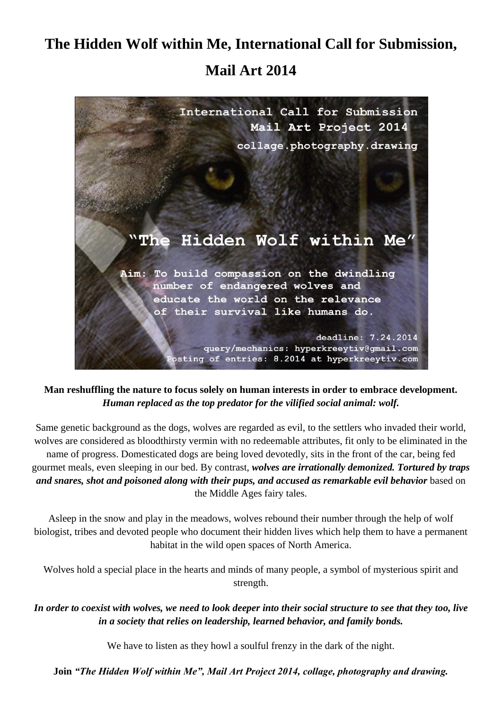## **The Hidden Wolf within Me, International Call for Submission, Mail Art 2014**



## **Man reshuffling the nature to focus solely on human interests in order to embrace development.**  *Human replaced as the top predator for the vilified social animal: wolf.*

Same genetic background as the dogs, wolves are regarded as evil, to the settlers who invaded their world, wolves are considered as bloodthirsty vermin with no redeemable attributes, fit only to be eliminated in the name of progress. Domesticated dogs are being loved devotedly, sits in the front of the car, being fed gourmet meals, even sleeping in our bed. By contrast, *wolves are irrationally demonized. Tortured by traps and snares, shot and poisoned along with their pups, and accused as remarkable evil behavior* based on the Middle Ages fairy tales.

Asleep in the snow and play in the meadows, wolves rebound their number through the help of wolf biologist, tribes and devoted people who document their hidden lives which help them to have a permanent habitat in the wild open spaces of North America.

Wolves hold a special place in the hearts and minds of many people, a symbol of mysterious spirit and strength.

*In order to coexist with wolves, we need to look deeper into their social structure to see that they too, live in a society that relies on leadership, learned behavior, and family bonds.*

We have to listen as they howl a soulful frenzy in the dark of the night.

**Join** *"The Hidden Wolf within Me", Mail Art Project 2014, collage, photography and drawing.*